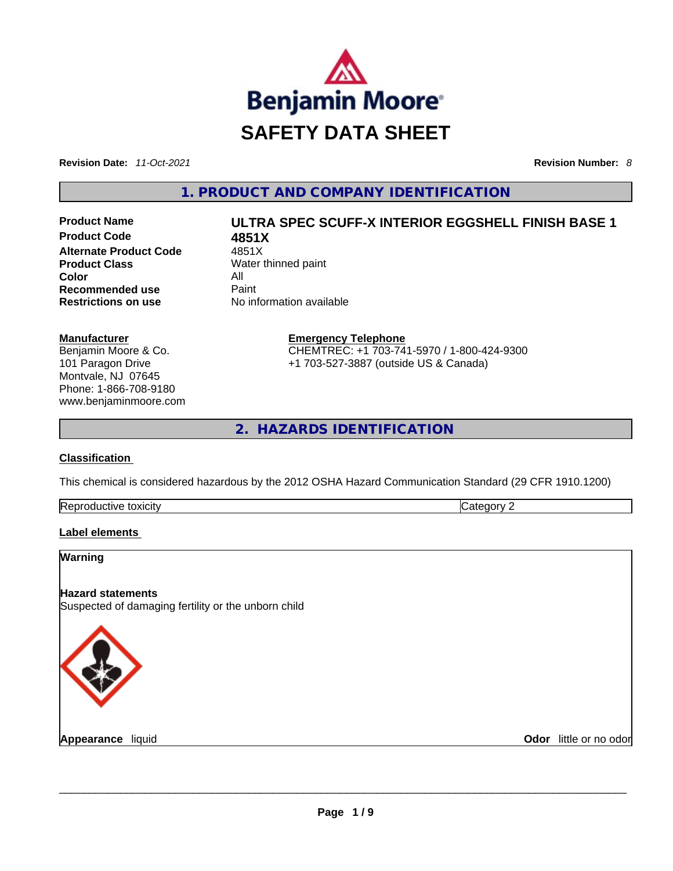

**Revision Date:** *11-Oct-2021* **Revision Number:** *8*

**1. PRODUCT AND COMPANY IDENTIFICATION** 

**Product Code 4851X Alternate Product Code** 4851X **Product Class** Water thinned paint **Color** All **Recommended use Paint Restrictions on use** No information available

**Manufacturer** Benjamin Moore & Co. 101 Paragon Drive Montvale, NJ 07645 Phone: 1-866-708-9180 www.benjaminmoore.com

# **Product Name ULTRA SPEC SCUFF-X INTERIOR EGGSHELL FINISH BASE 1**

**Emergency Telephone** CHEMTREC: +1 703-741-5970 / 1-800-424-9300 +1 703-527-3887 (outside US & Canada)

**2. HAZARDS IDENTIFICATION** 

#### **Classification**

This chemical is considered hazardous by the 2012 OSHA Hazard Communication Standard (29 CFR 1910.1200)

| Re <sub>i</sub><br>toxicity<br>$\ldots$<br>. | . |
|----------------------------------------------|---|
|                                              |   |

# **Label elements**

## **Warning**

# **Hazard statements**

Suspected of damaging fertility or the unborn child



**Appearance** liquid \_\_\_\_\_\_\_\_\_\_\_\_\_\_\_\_\_\_\_\_\_\_\_\_\_\_\_\_\_\_\_\_\_\_\_\_\_\_\_\_\_\_\_\_\_\_\_\_\_\_\_\_\_\_\_\_\_\_\_\_\_\_\_\_\_\_\_\_\_\_\_\_\_\_\_\_\_\_\_\_\_\_\_\_\_\_\_\_\_\_\_\_\_ **Odor** little or no odor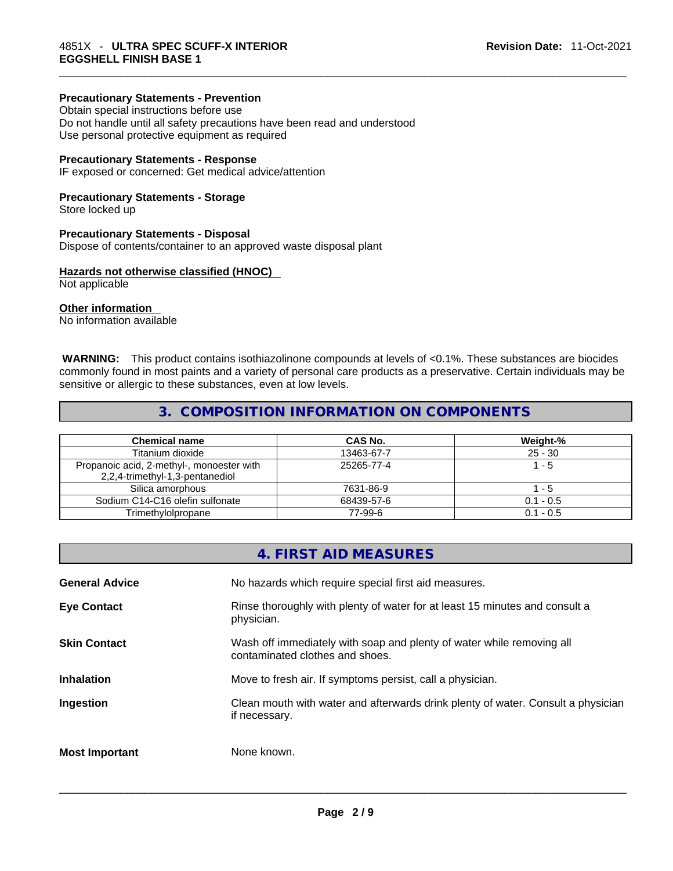# **Precautionary Statements - Prevention**

Obtain special instructions before use Do not handle until all safety precautions have been read and understood Use personal protective equipment as required

#### **Precautionary Statements - Response**

IF exposed or concerned: Get medical advice/attention

### **Precautionary Statements - Storage**

Store locked up

#### **Precautionary Statements - Disposal**

Dispose of contents/container to an approved waste disposal plant

# **Hazards not otherwise classified (HNOC)**

Not applicable

## **Other information**

No information available

 **WARNING:** This product contains isothiazolinone compounds at levels of <0.1%. These substances are biocides commonly found in most paints and a variety of personal care products as a preservative. Certain individuals may be sensitive or allergic to these substances, even at low levels.

# **3. COMPOSITION INFORMATION ON COMPONENTS**

| <b>Chemical name</b>                                                         | <b>CAS No.</b> | Weight-%    |
|------------------------------------------------------------------------------|----------------|-------------|
| Titanium dioxide                                                             | 13463-67-7     | $25 - 30$   |
| Propanoic acid, 2-methyl-, monoester with<br>2,2,4-trimethyl-1,3-pentanediol | 25265-77-4     | 1 - 5       |
| Silica amorphous                                                             | 7631-86-9      | l - 5       |
| Sodium C14-C16 olefin sulfonate                                              | 68439-57-6     | $0.1 - 0.5$ |
| Trimethylolpropane                                                           | 77-99-6        | $0.1 - 0.5$ |

|                       | 4. FIRST AID MEASURES                                                                                    |
|-----------------------|----------------------------------------------------------------------------------------------------------|
| <b>General Advice</b> | No hazards which require special first aid measures.                                                     |
| <b>Eye Contact</b>    | Rinse thoroughly with plenty of water for at least 15 minutes and consult a<br>physician.                |
| <b>Skin Contact</b>   | Wash off immediately with soap and plenty of water while removing all<br>contaminated clothes and shoes. |
| Inhalation            | Move to fresh air. If symptoms persist, call a physician.                                                |
| Ingestion             | Clean mouth with water and afterwards drink plenty of water. Consult a physician<br>if necessary.        |

**Most Important** None known. \_\_\_\_\_\_\_\_\_\_\_\_\_\_\_\_\_\_\_\_\_\_\_\_\_\_\_\_\_\_\_\_\_\_\_\_\_\_\_\_\_\_\_\_\_\_\_\_\_\_\_\_\_\_\_\_\_\_\_\_\_\_\_\_\_\_\_\_\_\_\_\_\_\_\_\_\_\_\_\_\_\_\_\_\_\_\_\_\_\_\_\_\_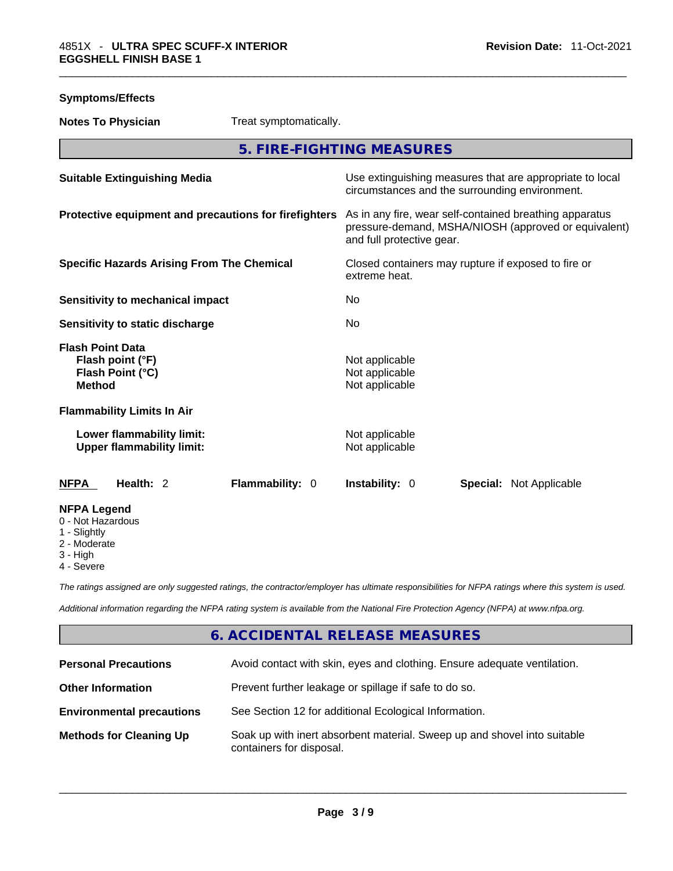# **Symptoms/Effects**

**Notes To Physician** Treat symptomatically.

**5. FIRE-FIGHTING MEASURES** 

| <b>Suitable Extinguishing Media</b>                                              | Use extinguishing measures that are appropriate to local<br>circumstances and the surrounding environment.                                   |
|----------------------------------------------------------------------------------|----------------------------------------------------------------------------------------------------------------------------------------------|
| Protective equipment and precautions for firefighters                            | As in any fire, wear self-contained breathing apparatus<br>pressure-demand, MSHA/NIOSH (approved or equivalent)<br>and full protective gear. |
| <b>Specific Hazards Arising From The Chemical</b>                                | Closed containers may rupture if exposed to fire or<br>extreme heat.                                                                         |
| <b>Sensitivity to mechanical impact</b>                                          | No.                                                                                                                                          |
| Sensitivity to static discharge                                                  | No                                                                                                                                           |
| <b>Flash Point Data</b><br>Flash point (°F)<br>Flash Point (°C)<br><b>Method</b> | Not applicable<br>Not applicable<br>Not applicable                                                                                           |
| <b>Flammability Limits In Air</b>                                                |                                                                                                                                              |
| Lower flammability limit:<br><b>Upper flammability limit:</b>                    | Not applicable<br>Not applicable                                                                                                             |
| Flammability: 0<br><b>NFPA</b><br>Health: 2                                      | Instability: 0<br><b>Special: Not Applicable</b>                                                                                             |
| <b>NFPA Legend</b><br>0 - Not Hazardous<br>1 - Slightly<br>2 - Moderate          |                                                                                                                                              |

- 3 High
- 4 Severe

*The ratings assigned are only suggested ratings, the contractor/employer has ultimate responsibilities for NFPA ratings where this system is used.* 

*Additional information regarding the NFPA rating system is available from the National Fire Protection Agency (NFPA) at www.nfpa.org.* 

# **6. ACCIDENTAL RELEASE MEASURES**

| <b>Personal Precautions</b>      | Avoid contact with skin, eyes and clothing. Ensure adequate ventilation.                             |
|----------------------------------|------------------------------------------------------------------------------------------------------|
| <b>Other Information</b>         | Prevent further leakage or spillage if safe to do so.                                                |
| <b>Environmental precautions</b> | See Section 12 for additional Ecological Information.                                                |
| <b>Methods for Cleaning Up</b>   | Soak up with inert absorbent material. Sweep up and shovel into suitable<br>containers for disposal. |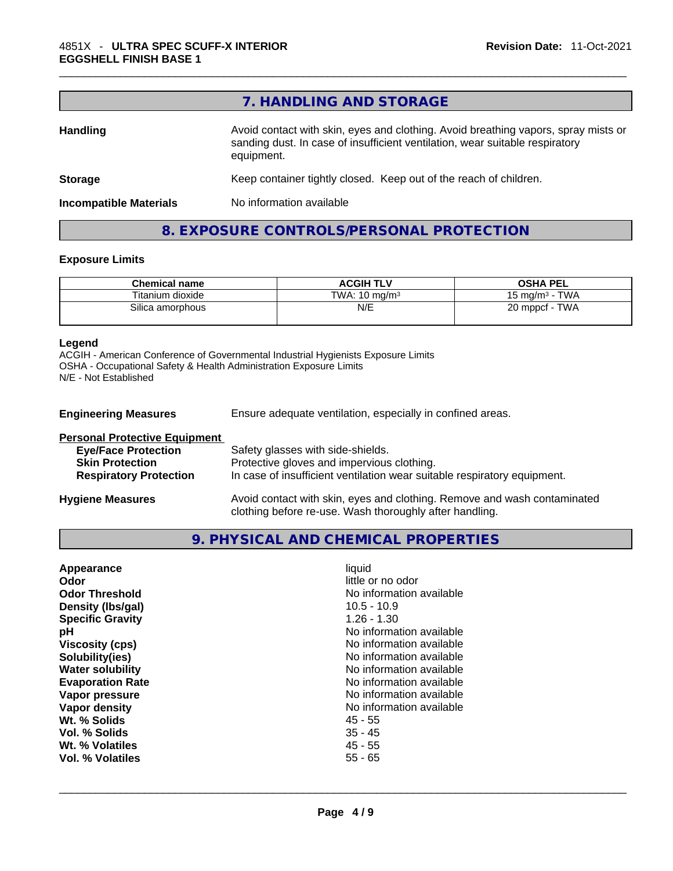| 7. HANDLING AND STORAGE                                                                                                                                                          |
|----------------------------------------------------------------------------------------------------------------------------------------------------------------------------------|
| Avoid contact with skin, eyes and clothing. Avoid breathing vapors, spray mists or<br>sanding dust. In case of insufficient ventilation, wear suitable respiratory<br>equipment. |
| Keep container tightly closed. Keep out of the reach of children.                                                                                                                |
| No information available                                                                                                                                                         |
|                                                                                                                                                                                  |

# **8. EXPOSURE CONTROLS/PERSONAL PROTECTION**

#### **Exposure Limits**

| <b>Chemical name</b> | <b>ACGIH TLV</b>         | <b>OSHA PEL</b>               |
|----------------------|--------------------------|-------------------------------|
| Titanium dioxide     | TWA: $10 \text{ ma/m}^3$ | · TWA<br>15 ma/m $^{\rm 3}$ . |
| Silica amorphous     | N/E                      | TWA<br>20 mppcf               |

#### **Legend**

ACGIH - American Conference of Governmental Industrial Hygienists Exposure Limits OSHA - Occupational Safety & Health Administration Exposure Limits N/E - Not Established

| <b>Engineering Measures</b>                                                                                                   | Ensure adequate ventilation, especially in confined areas.                                                                                                  |  |
|-------------------------------------------------------------------------------------------------------------------------------|-------------------------------------------------------------------------------------------------------------------------------------------------------------|--|
| <b>Personal Protective Equipment</b><br><b>Eye/Face Protection</b><br><b>Skin Protection</b><br><b>Respiratory Protection</b> | Safety glasses with side-shields.<br>Protective gloves and impervious clothing.<br>In case of insufficient ventilation wear suitable respiratory equipment. |  |
| <b>Hygiene Measures</b>                                                                                                       | Avoid contact with skin, eyes and clothing. Remove and wash contaminated                                                                                    |  |

clothing before re-use. Wash thoroughly after handling.

**9. PHYSICAL AND CHEMICAL PROPERTIES** 

| Appearance              | liquid                   |
|-------------------------|--------------------------|
| <b>Odor</b>             | little or no odor        |
| <b>Odor Threshold</b>   | No information available |
| Density (Ibs/gal)       | $10.5 - 10.9$            |
| <b>Specific Gravity</b> | $1.26 - 1.30$            |
| рH                      | No information available |
| <b>Viscosity (cps)</b>  | No information available |
| Solubility(ies)         | No information available |
| <b>Water solubility</b> | No information available |
| <b>Evaporation Rate</b> | No information available |
| Vapor pressure          | No information available |
| Vapor density           | No information available |
| Wt. % Solids            | 45 - 55                  |
| Vol. % Solids           | $35 - 45$                |
| Wt. % Volatiles         | 45 - 55                  |
| Vol. % Volatiles        | $55 - 65$                |
|                         |                          |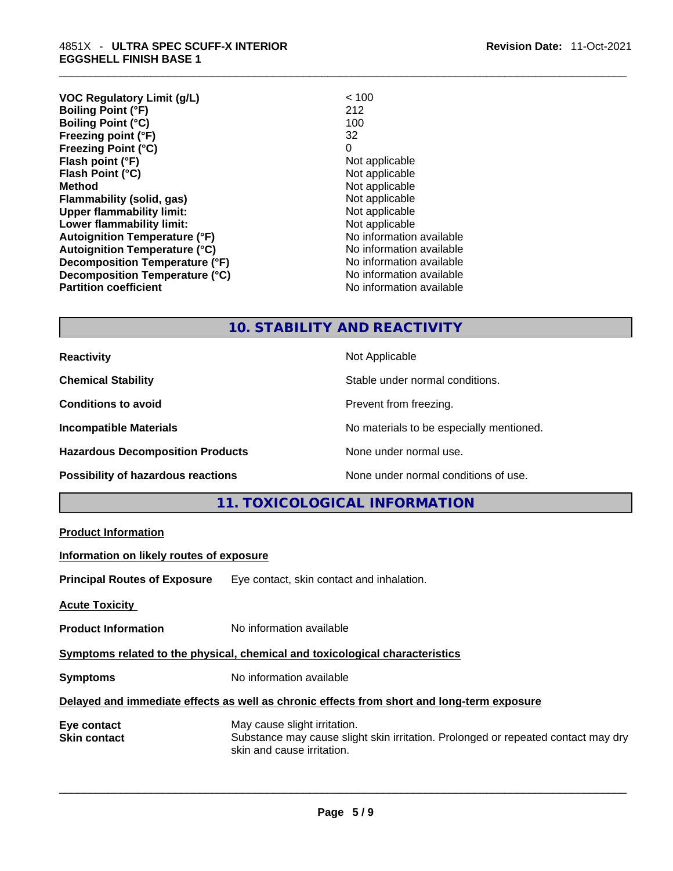| VOC Regulatory Limit (g/L)           | < 100                    |
|--------------------------------------|--------------------------|
| <b>Boiling Point (°F)</b>            | 212                      |
| <b>Boiling Point (°C)</b>            | 100                      |
| Freezing point (°F)                  | 32                       |
| <b>Freezing Point (°C)</b>           | 0                        |
| Flash point (°F)                     | Not applicable           |
| Flash Point (°C)                     | Not applicable           |
| Method                               | Not applicable           |
| Flammability (solid, gas)            | Not applicable           |
| <b>Upper flammability limit:</b>     | Not applicable           |
| Lower flammability limit:            | Not applicable           |
| <b>Autoignition Temperature (°F)</b> | No information available |
| <b>Autoignition Temperature (°C)</b> | No information available |
| Decomposition Temperature (°F)       | No information available |
| Decomposition Temperature (°C)       | No information available |
| <b>Partition coefficient</b>         | No information available |
|                                      |                          |

# **10. STABILITY AND REACTIVITY**

**Common** 

**Hazardous Decomposition Products** None under normal use.

**Reactivity Not Applicable Not Applicable** 

**Chemical Stability** Stable under normal conditions.

**Conditions to avoid Prevent from freezing.** 

**Incompatible Materials Incompatible Materials Materials No materials to be especially mentioned.** 

**Possibility of hazardous reactions** None under normal conditions of use.

|                                          | 11. TOXICOLOGICAL INFORMATION                                                                                                                   |
|------------------------------------------|-------------------------------------------------------------------------------------------------------------------------------------------------|
| <b>Product Information</b>               |                                                                                                                                                 |
| Information on likely routes of exposure |                                                                                                                                                 |
|                                          | <b>Principal Routes of Exposure</b> Eye contact, skin contact and inhalation.                                                                   |
| <b>Acute Toxicity</b>                    |                                                                                                                                                 |
| <b>Product Information</b>               | No information available                                                                                                                        |
|                                          | Symptoms related to the physical, chemical and toxicological characteristics                                                                    |
| <b>Symptoms</b>                          | No information available                                                                                                                        |
|                                          | Delayed and immediate effects as well as chronic effects from short and long-term exposure                                                      |
| Eye contact<br>Skin contact              | May cause slight irritation.<br>Substance may cause slight skin irritation. Prolonged or repeated contact may dry<br>skin and cause irritation. |
|                                          |                                                                                                                                                 |
|                                          |                                                                                                                                                 |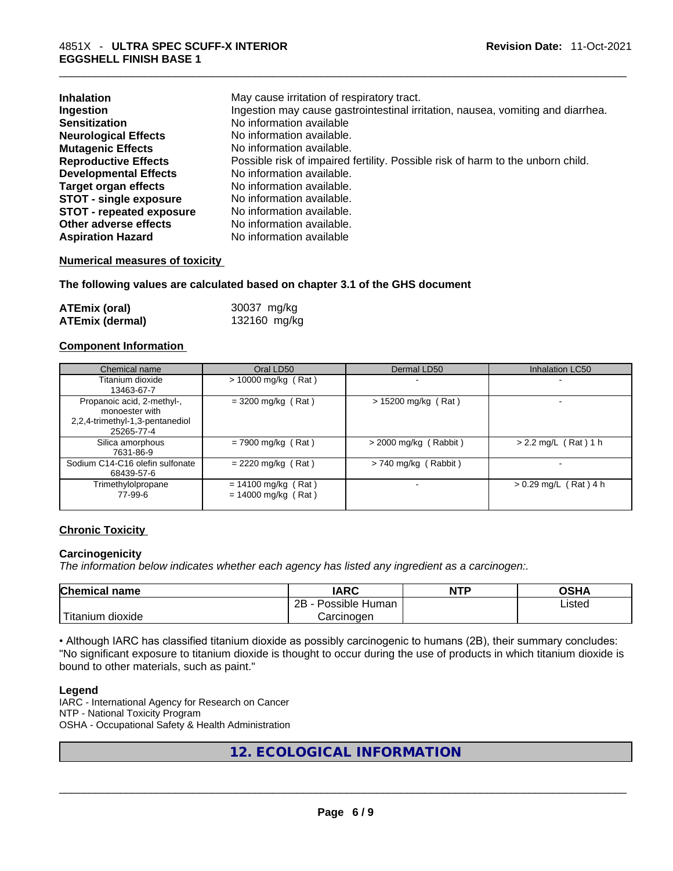| <b>Inhalation</b>               | May cause irritation of respiratory tract.                                      |
|---------------------------------|---------------------------------------------------------------------------------|
| Ingestion                       | Ingestion may cause gastrointestinal irritation, nausea, vomiting and diarrhea. |
| <b>Sensitization</b>            | No information available                                                        |
| <b>Neurological Effects</b>     | No information available.                                                       |
| <b>Mutagenic Effects</b>        | No information available.                                                       |
| <b>Reproductive Effects</b>     | Possible risk of impaired fertility. Possible risk of harm to the unborn child. |
| <b>Developmental Effects</b>    | No information available.                                                       |
| Target organ effects            | No information available.                                                       |
| <b>STOT - single exposure</b>   | No information available.                                                       |
| <b>STOT - repeated exposure</b> | No information available.                                                       |
| Other adverse effects           | No information available.                                                       |
| <b>Aspiration Hazard</b>        | No information available                                                        |

#### **Numerical measures of toxicity**

#### **The following values are calculated based on chapter 3.1 of the GHS document**

| <b>ATEmix (oral)</b>   | 30037 mg/kg  |
|------------------------|--------------|
| <b>ATEmix (dermal)</b> | 132160 mg/kg |

#### **Component Information**

| Chemical name                                                                                 | Oral LD50                                      | Dermal LD50             | <b>Inhalation LC50</b>  |
|-----------------------------------------------------------------------------------------------|------------------------------------------------|-------------------------|-------------------------|
| Titanium dioxide<br>13463-67-7                                                                | $> 10000$ mg/kg (Rat)                          |                         |                         |
| Propanoic acid, 2-methyl-,<br>monoester with<br>2,2,4-trimethyl-1,3-pentanediol<br>25265-77-4 | $= 3200$ mg/kg (Rat)                           | $> 15200$ mg/kg (Rat)   |                         |
| Silica amorphous<br>7631-86-9                                                                 | $= 7900$ mg/kg (Rat)                           | $>$ 2000 mg/kg (Rabbit) | $> 2.2$ mg/L (Rat) 1 h  |
| Sodium C14-C16 olefin sulfonate<br>68439-57-6                                                 | $= 2220$ mg/kg (Rat)                           | $> 740$ mg/kg (Rabbit)  |                         |
| Trimethylolpropane<br>77-99-6                                                                 | $= 14100$ mg/kg (Rat)<br>$= 14000$ mg/kg (Rat) |                         | $> 0.29$ mg/L (Rat) 4 h |

#### **Chronic Toxicity**

#### **Carcinogenicity**

*The information below indicates whether each agency has listed any ingredient as a carcinogen:.* 

| <b>Chemical name</b> | IARC                 | <b>NTP</b> | OSHA   |
|----------------------|----------------------|------------|--------|
|                      | 2B<br>Possible Human |            | ∟isted |
| Titanium<br>dioxide  | Carcinoɑen           |            |        |

• Although IARC has classified titanium dioxide as possibly carcinogenic to humans (2B), their summary concludes: "No significant exposure to titanium dioxide is thought to occur during the use of products in which titanium dioxide is bound to other materials, such as paint."

#### **Legend**

IARC - International Agency for Research on Cancer NTP - National Toxicity Program OSHA - Occupational Safety & Health Administration

# **12. ECOLOGICAL INFORMATION**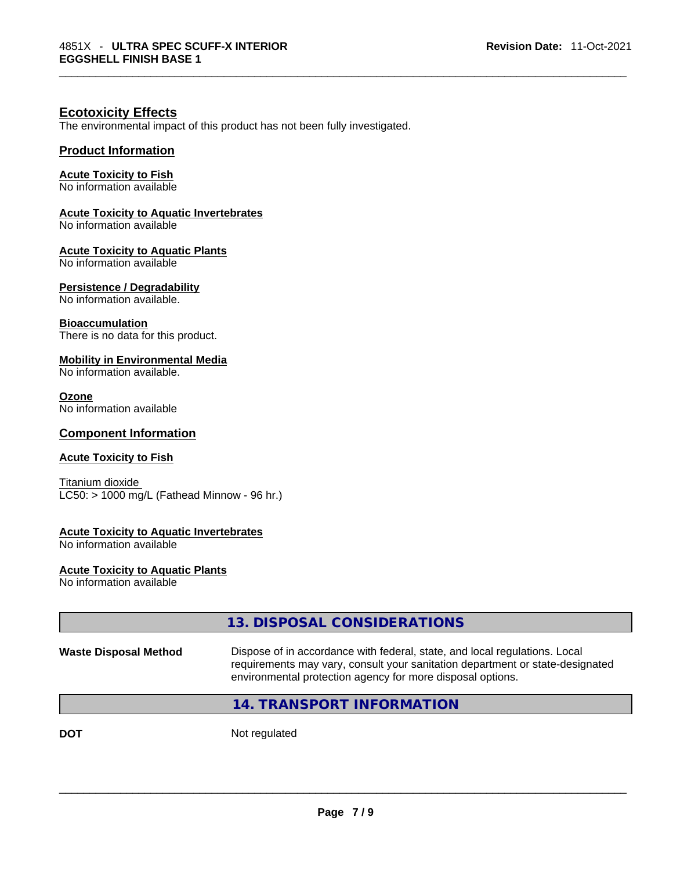# **Ecotoxicity Effects**

The environmental impact of this product has not been fully investigated.

# **Product Information**

# **Acute Toxicity to Fish**

No information available

# **Acute Toxicity to Aquatic Invertebrates**

No information available

#### **Acute Toxicity to Aquatic Plants**

No information available

# **Persistence / Degradability**

No information available.

# **Bioaccumulation**

There is no data for this product.

# **Mobility in Environmental Media**

No information available.

#### **Ozone**

No information available

# **Component Information**

#### **Acute Toxicity to Fish**

Titanium dioxide  $LC50:$  > 1000 mg/L (Fathead Minnow - 96 hr.)

## **Acute Toxicity to Aquatic Invertebrates**

No information available

**Acute Toxicity to Aquatic Plants** No information available

|                              | 13. DISPOSAL CONSIDERATIONS                                                                                                                                                                                               |
|------------------------------|---------------------------------------------------------------------------------------------------------------------------------------------------------------------------------------------------------------------------|
| <b>Waste Disposal Method</b> | Dispose of in accordance with federal, state, and local regulations. Local<br>requirements may vary, consult your sanitation department or state-designated<br>environmental protection agency for more disposal options. |
|                              | 14. TRANSPORT INFORMATION                                                                                                                                                                                                 |
| <b>DOT</b>                   | Not regulated                                                                                                                                                                                                             |
|                              |                                                                                                                                                                                                                           |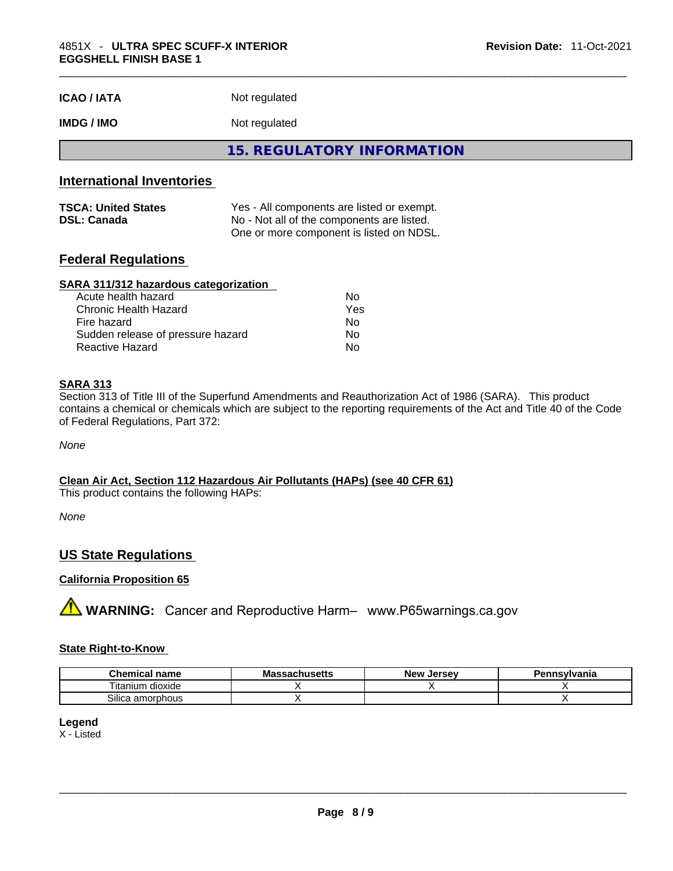# **IMDG / IMO** Not regulated

**15. REGULATORY INFORMATION** 

# **International Inventories**

| <b>TSCA: United States</b> | Yes - All components are listed or exempt. |
|----------------------------|--------------------------------------------|
| <b>DSL: Canada</b>         | No - Not all of the components are listed. |
|                            | One or more component is listed on NDSL.   |

# **Federal Regulations**

#### **SARA 311/312 hazardous categorization**

| Acute health hazard               | Nο  |
|-----------------------------------|-----|
| Chronic Health Hazard             | Yes |
| Fire hazard                       | Nο  |
| Sudden release of pressure hazard | Nο  |
| Reactive Hazard                   | Nο  |

#### **SARA 313**

Section 313 of Title III of the Superfund Amendments and Reauthorization Act of 1986 (SARA). This product contains a chemical or chemicals which are subject to the reporting requirements of the Act and Title 40 of the Code of Federal Regulations, Part 372:

*None*

**Clean Air Act,Section 112 Hazardous Air Pollutants (HAPs) (see 40 CFR 61)** This product contains the following HAPs:

*None*

# **US State Regulations**

#### **California Proposition 65**

**A** WARNING: Cancer and Reproductive Harm– www.P65warnings.ca.gov

#### **State Right-to-Know**

| <b>Chemical</b><br>name | <b>Massachusetts</b> | <b>Jersev</b><br><b>Nev</b> | Pennsylvania |
|-------------------------|----------------------|-----------------------------|--------------|
| <br>itanium<br>dioxide  |                      |                             |              |
| Silica<br>amorphous     |                      |                             |              |

#### **Legend** X - Listed